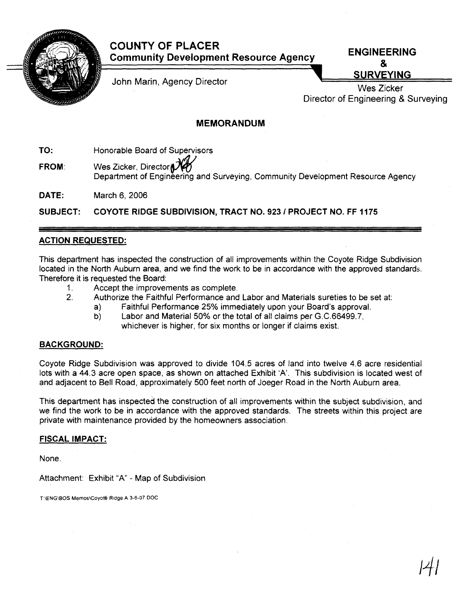

# **COUNTY OF PLACER Community Development Resource Agency**

John Marin, Agency Director

**ENGINEERING**  & **SURVEYING** 

Director of Engineering & Surveying Wes Zicker

## **MEMORANDUM**

**TO:** Honorable Board of Supervisors

**FROM:** Wes Zicker, Director Department of Engineering and Surveying, Community Development Resource Agency

**DATE:** March 6, 2006

**SUBJECT: COYOTE RIDGE SUBDIVISION, TRACT NO. 923 1 PROJECT NO. FF 1175** 

### **ACTION REQUESTED:**

This department has inspected the construction of all improvements within the Coyote Ridge Subdivision located in the North Auburn area, and we find the work to be in accordance with the approved standards. Therefore it is requested the Board:

- 1. Accept the improvements as complete.
- 2. Authorize the Faithful Performance and Labor and Materials sureties to be set at:
	- a) Faithful Performance 25% immediately upon your Board's approval.<br>b) Labor and Material 50% or the total of all claims per G.C.66499.7.
		- Labor and Material 50% or the total of all claims per G.C.66499.7, whichever is higher, for six months or longer if claims exist.

### **BACKGROUND:**

Coyote Ridge Subdivision was approved to divide 104.5 acres of land into twelve **4.6** acre residential lots with a **44.3** acre open space, as shown on attached Exhibit 'A'. This subdivision is located west of and adjacent to Bell Road, approximately 500 feet north of Joeger Road in the North Auburn area.

This department has inspected the construction of all improvements within the subject subdivision, and we find the work to be in accordance with the approved standards. The streets within this project are private with maintenance provided by the homeowners association.

### **FISCAL IMPACT:**

None.

Attachment: Exhibit "A" - Map of Subdivision

T:\ENG\BOS Memos\Coyote Ridge A 3-6-07 DOC